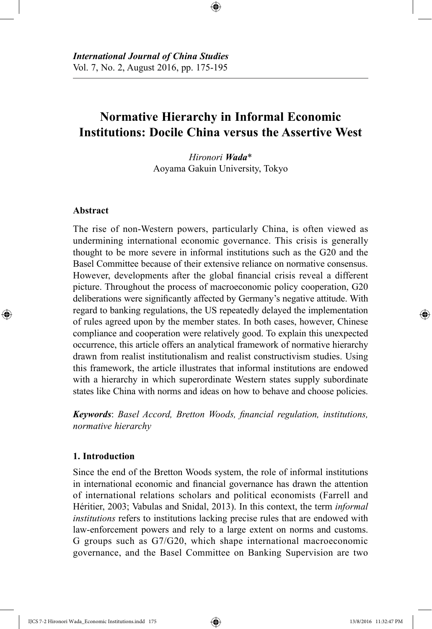# **Normative Hierarchy in Informal Economic Institutions: Docile China versus the Assertive West**

⊕

*Hironori Wada*\* Aoyama Gakuin University, Tokyo

# **Abstract**

⊕

The rise of non-Western powers, particularly China, is often viewed as undermining international economic governance. This crisis is generally thought to be more severe in informal institutions such as the G20 and the Basel Committee because of their extensive reliance on normative consensus. However, developments after the global financial crisis reveal a different picture. Throughout the process of macroeconomic policy cooperation, G20 deliberations were significantly affected by Germany's negative attitude. With regard to banking regulations, the US repeatedly delayed the implementation of rules agreed upon by the member states. In both cases, however, Chinese compliance and cooperation were relatively good. To explain this unexpected occurrence, this article offers an analytical framework of normative hierarchy drawn from realist institutionalism and realist constructivism studies. Using this framework, the article illustrates that informal institutions are endowed with a hierarchy in which superordinate Western states supply subordinate states like China with norms and ideas on how to behave and choose policies.

*Keywords*: *Basel Accord, Bretton Woods, financial regulation, institutions, normative hierarchy*

# **1. Introduction**

Since the end of the Bretton Woods system, the role of informal institutions in international economic and financial governance has drawn the attention of international relations scholars and political economists (Farrell and Héritier, 2003; Vabulas and Snidal, 2013). In this context, the term *informal institutions* refers to institutions lacking precise rules that are endowed with law-enforcement powers and rely to a large extent on norms and customs. G groups such as G7/G20, which shape international macroeconomic governance, and the Basel Committee on Banking Supervision are two

IJCS 7-2 Hironori Wada\_Economic Institutions.indd 175 13/8/2016 11:32:47 PM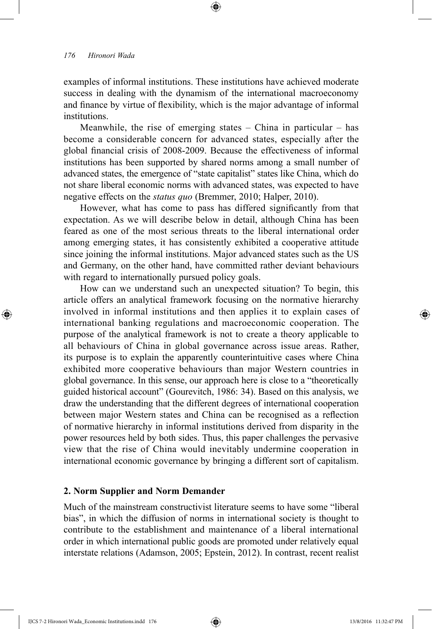⊕

examples of informal institutions. These institutions have achieved moderate success in dealing with the dynamism of the international macroeconomy and finance by virtue of flexibility, which is the major advantage of informal institutions.

⊕

Meanwhile, the rise of emerging states  $-$  China in particular  $-$  has become a considerable concern for advanced states, especially after the global financial crisis of 2008-2009. Because the effectiveness of informal institutions has been supported by shared norms among a small number of advanced states, the emergence of "state capitalist" states like China, which do not share liberal economic norms with advanced states, was expected to have negative effects on the *status quo* (Bremmer, 2010; Halper, 2010).

However, what has come to pass has differed significantly from that expectation. As we will describe below in detail, although China has been feared as one of the most serious threats to the liberal international order among emerging states, it has consistently exhibited a cooperative attitude since joining the informal institutions. Major advanced states such as the US and Germany, on the other hand, have committed rather deviant behaviours with regard to internationally pursued policy goals.

How can we understand such an unexpected situation? To begin, this article offers an analytical framework focusing on the normative hierarchy involved in informal institutions and then applies it to explain cases of international banking regulations and macroeconomic cooperation. The purpose of the analytical framework is not to create a theory applicable to all behaviours of China in global governance across issue areas. Rather, its purpose is to explain the apparently counterintuitive cases where China exhibited more cooperative behaviours than major Western countries in global governance. In this sense, our approach here is close to a "theoretically guided historical account" (Gourevitch, 1986: 34). Based on this analysis, we draw the understanding that the different degrees of international cooperation between major Western states and China can be recognised as a reflection of normative hierarchy in informal institutions derived from disparity in the power resources held by both sides. Thus, this paper challenges the pervasive view that the rise of China would inevitably undermine cooperation in international economic governance by bringing a different sort of capitalism.

### **2. Norm Supplier and Norm Demander**

Much of the mainstream constructivist literature seems to have some "liberal bias", in which the diffusion of norms in international society is thought to contribute to the establishment and maintenance of a liberal international order in which international public goods are promoted under relatively equal interstate relations (Adamson, 2005; Epstein, 2012). In contrast, recent realist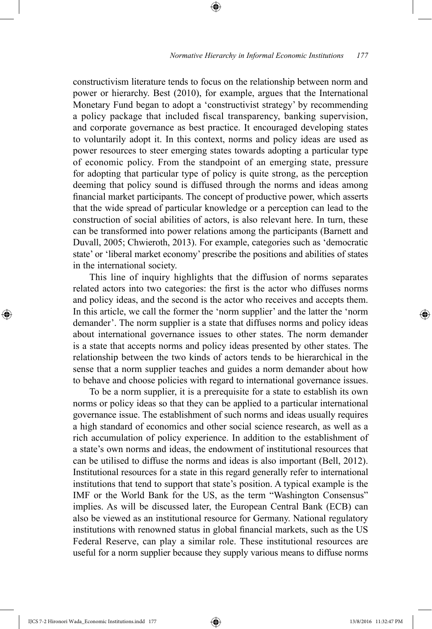constructivism literature tends to focus on the relationship between norm and power or hierarchy. Best (2010), for example, argues that the International Monetary Fund began to adopt a 'constructivist strategy' by recommending a policy package that included fiscal transparency, banking supervision, and corporate governance as best practice. It encouraged developing states to voluntarily adopt it. In this context, norms and policy ideas are used as power resources to steer emerging states towards adopting a particular type of economic policy. From the standpoint of an emerging state, pressure for adopting that particular type of policy is quite strong, as the perception deeming that policy sound is diffused through the norms and ideas among financial market participants. The concept of productive power, which asserts that the wide spread of particular knowledge or a perception can lead to the construction of social abilities of actors, is also relevant here. In turn, these can be transformed into power relations among the participants (Barnett and Duvall, 2005; Chwieroth, 2013). For example, categories such as 'democratic state' or 'liberal market economy' prescribe the positions and abilities of states in the international society.

⊕

This line of inquiry highlights that the diffusion of norms separates related actors into two categories: the first is the actor who diffuses norms and policy ideas, and the second is the actor who receives and accepts them. In this article, we call the former the 'norm supplier' and the latter the 'norm demander'. The norm supplier is a state that diffuses norms and policy ideas about international governance issues to other states. The norm demander is a state that accepts norms and policy ideas presented by other states. The relationship between the two kinds of actors tends to be hierarchical in the sense that a norm supplier teaches and guides a norm demander about how to behave and choose policies with regard to international governance issues.

To be a norm supplier, it is a prerequisite for a state to establish its own norms or policy ideas so that they can be applied to a particular international governance issue. The establishment of such norms and ideas usually requires a high standard of economics and other social science research, as well as a rich accumulation of policy experience. In addition to the establishment of a state's own norms and ideas, the endowment of institutional resources that can be utilised to diffuse the norms and ideas is also important (Bell, 2012). Institutional resources for a state in this regard generally refer to international institutions that tend to support that state's position. A typical example is the IMF or the World Bank for the US, as the term "Washington Consensus" implies. As will be discussed later, the European Central Bank (ECB) can also be viewed as an institutional resource for Germany. National regulatory institutions with renowned status in global financial markets, such as the US Federal Reserve, can play a similar role. These institutional resources are useful for a norm supplier because they supply various means to diffuse norms

⊕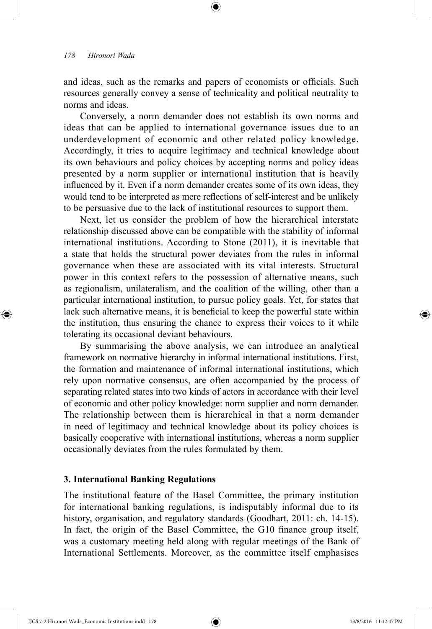⊕

and ideas, such as the remarks and papers of economists or officials. Such resources generally convey a sense of technicality and political neutrality to norms and ideas.

⊕

Conversely, a norm demander does not establish its own norms and ideas that can be applied to international governance issues due to an underdevelopment of economic and other related policy knowledge. Accordingly, it tries to acquire legitimacy and technical knowledge about its own behaviours and policy choices by accepting norms and policy ideas presented by a norm supplier or international institution that is heavily influenced by it. Even if a norm demander creates some of its own ideas, they would tend to be interpreted as mere reflections of self-interest and be unlikely to be persuasive due to the lack of institutional resources to support them.

Next, let us consider the problem of how the hierarchical interstate relationship discussed above can be compatible with the stability of informal international institutions. According to Stone (2011), it is inevitable that a state that holds the structural power deviates from the rules in informal governance when these are associated with its vital interests. Structural power in this context refers to the possession of alternative means, such as regionalism, unilateralism, and the coalition of the willing, other than a particular international institution, to pursue policy goals. Yet, for states that lack such alternative means, it is beneficial to keep the powerful state within the institution, thus ensuring the chance to express their voices to it while tolerating its occasional deviant behaviours.

By summarising the above analysis, we can introduce an analytical framework on normative hierarchy in informal international institutions. First, the formation and maintenance of informal international institutions, which rely upon normative consensus, are often accompanied by the process of separating related states into two kinds of actors in accordance with their level of economic and other policy knowledge: norm supplier and norm demander. The relationship between them is hierarchical in that a norm demander in need of legitimacy and technical knowledge about its policy choices is basically cooperative with international institutions, whereas a norm supplier occasionally deviates from the rules formulated by them.

### **3. International Banking Regulations**

The institutional feature of the Basel Committee, the primary institution for international banking regulations, is indisputably informal due to its history, organisation, and regulatory standards (Goodhart, 2011: ch. 14-15). In fact, the origin of the Basel Committee, the G10 finance group itself, was a customary meeting held along with regular meetings of the Bank of International Settlements. Moreover, as the committee itself emphasises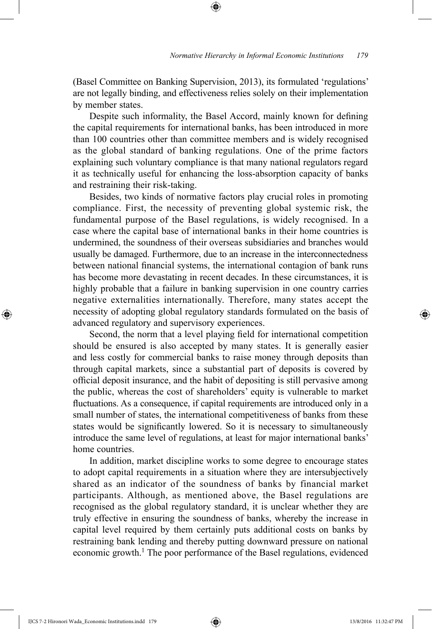(Basel Committee on Banking Supervision, 2013), its formulated 'regulations' are not legally binding, and effectiveness relies solely on their implementation by member states.

⊕

Despite such informality, the Basel Accord, mainly known for defining the capital requirements for international banks, has been introduced in more than 100 countries other than committee members and is widely recognised as the global standard of banking regulations. One of the prime factors explaining such voluntary compliance is that many national regulators regard it as technically useful for enhancing the loss-absorption capacity of banks and restraining their risk-taking.

Besides, two kinds of normative factors play crucial roles in promoting compliance. First, the necessity of preventing global systemic risk, the fundamental purpose of the Basel regulations, is widely recognised. In a case where the capital base of international banks in their home countries is undermined, the soundness of their overseas subsidiaries and branches would usually be damaged. Furthermore, due to an increase in the interconnectedness between national financial systems, the international contagion of bank runs has become more devastating in recent decades. In these circumstances, it is highly probable that a failure in banking supervision in one country carries negative externalities internationally. Therefore, many states accept the necessity of adopting global regulatory standards formulated on the basis of advanced regulatory and supervisory experiences.

Second, the norm that a level playing field for international competition should be ensured is also accepted by many states. It is generally easier and less costly for commercial banks to raise money through deposits than through capital markets, since a substantial part of deposits is covered by official deposit insurance, and the habit of depositing is still pervasive among the public, whereas the cost of shareholders' equity is vulnerable to market fluctuations. As a consequence, if capital requirements are introduced only in a small number of states, the international competitiveness of banks from these states would be significantly lowered. So it is necessary to simultaneously introduce the same level of regulations, at least for major international banks' home countries.

In addition, market discipline works to some degree to encourage states to adopt capital requirements in a situation where they are intersubjectively shared as an indicator of the soundness of banks by financial market participants. Although, as mentioned above, the Basel regulations are recognised as the global regulatory standard, it is unclear whether they are truly effective in ensuring the soundness of banks, whereby the increase in capital level required by them certainly puts additional costs on banks by restraining bank lending and thereby putting downward pressure on national economic growth.<sup>1</sup> The poor performance of the Basel regulations, evidenced

IJCS 7-2 Hironori Wada\_Economic Institutions.indd 179 13/8/2016 11:32:47 PM

⊕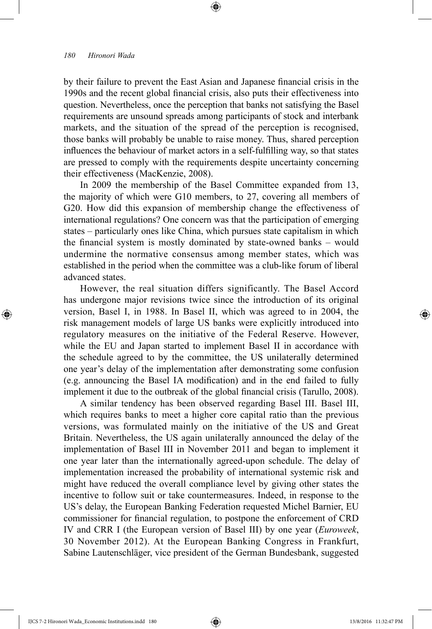⊕

by their failure to prevent the East Asian and Japanese financial crisis in the 1990s and the recent global financial crisis, also puts their effectiveness into question. Nevertheless, once the perception that banks not satisfying the Basel requirements are unsound spreads among participants of stock and interbank markets, and the situation of the spread of the perception is recognised, those banks will probably be unable to raise money. Thus, shared perception influences the behaviour of market actors in a self-fulfilling way, so that states are pressed to comply with the requirements despite uncertainty concerning their effectiveness (MacKenzie, 2008).

⊕

In 2009 the membership of the Basel Committee expanded from 13, the majority of which were G10 members, to 27, covering all members of G20. How did this expansion of membership change the effectiveness of international regulations? One concern was that the participation of emerging states – particularly ones like China, which pursues state capitalism in which the financial system is mostly dominated by state-owned banks – would undermine the normative consensus among member states, which was established in the period when the committee was a club-like forum of liberal advanced states.

However, the real situation differs significantly. The Basel Accord has undergone major revisions twice since the introduction of its original version, Basel I, in 1988. In Basel II, which was agreed to in 2004, the risk management models of large US banks were explicitly introduced into regulatory measures on the initiative of the Federal Reserve. However, while the EU and Japan started to implement Basel II in accordance with the schedule agreed to by the committee, the US unilaterally determined one year's delay of the implementation after demonstrating some confusion (e.g. announcing the Basel IA modification) and in the end failed to fully implement it due to the outbreak of the global financial crisis (Tarullo, 2008).

A similar tendency has been observed regarding Basel III. Basel III, which requires banks to meet a higher core capital ratio than the previous versions, was formulated mainly on the initiative of the US and Great Britain. Nevertheless, the US again unilaterally announced the delay of the implementation of Basel III in November 2011 and began to implement it one year later than the internationally agreed-upon schedule. The delay of implementation increased the probability of international systemic risk and might have reduced the overall compliance level by giving other states the incentive to follow suit or take countermeasures. Indeed, in response to the US's delay, the European Banking Federation requested Michel Barnier, EU commissioner for financial regulation, to postpone the enforcement of CRD IV and CRR I (the European version of Basel III) by one year (*Euroweek*, 30 November 2012). At the European Banking Congress in Frankfurt, Sabine Lautenschläger, vice president of the German Bundesbank, suggested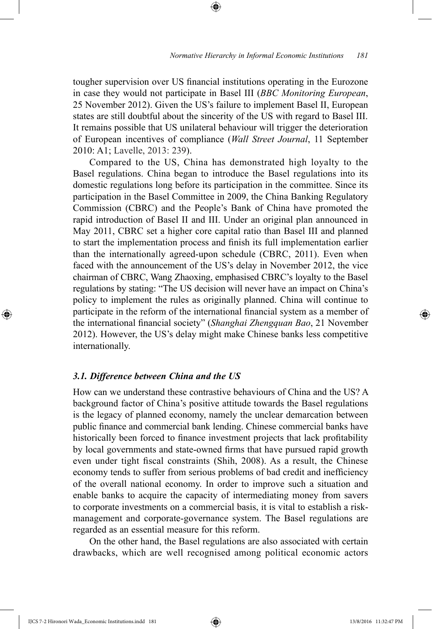tougher supervision over US financial institutions operating in the Eurozone in case they would not participate in Basel III (*BBC Monitoring European*, 25 November 2012). Given the US's failure to implement Basel II, European states are still doubtful about the sincerity of the US with regard to Basel III. It remains possible that US unilateral behaviour will trigger the deterioration of European incentives of compliance (*Wall Street Journal*, 11 September 2010: A1; Lavelle, 2013: 239).

⊕

Compared to the US, China has demonstrated high loyalty to the Basel regulations. China began to introduce the Basel regulations into its domestic regulations long before its participation in the committee. Since its participation in the Basel Committee in 2009, the China Banking Regulatory Commission (CBRC) and the People's Bank of China have promoted the rapid introduction of Basel II and III. Under an original plan announced in May 2011, CBRC set a higher core capital ratio than Basel III and planned to start the implementation process and finish its full implementation earlier than the internationally agreed-upon schedule (CBRC, 2011). Even when faced with the announcement of the US's delay in November 2012, the vice chairman of CBRC, Wang Zhaoxing, emphasised CBRC's loyalty to the Basel regulations by stating: "The US decision will never have an impact on China's policy to implement the rules as originally planned. China will continue to participate in the reform of the international financial system as a member of the international financial society" (*Shanghai Zhengquan Bao*, 21 November 2012). However, the US's delay might make Chinese banks less competitive internationally.

### *3.1. Difference between China and the US*

How can we understand these contrastive behaviours of China and the US? A background factor of China's positive attitude towards the Basel regulations is the legacy of planned economy, namely the unclear demarcation between public finance and commercial bank lending. Chinese commercial banks have historically been forced to finance investment projects that lack profitability by local governments and state-owned firms that have pursued rapid growth even under tight fiscal constraints (Shih, 2008). As a result, the Chinese economy tends to suffer from serious problems of bad credit and inefficiency of the overall national economy. In order to improve such a situation and enable banks to acquire the capacity of intermediating money from savers to corporate investments on a commercial basis, it is vital to establish a riskmanagement and corporate-governance system. The Basel regulations are regarded as an essential measure for this reform.

On the other hand, the Basel regulations are also associated with certain drawbacks, which are well recognised among political economic actors

IJCS 7-2 Hironori Wada\_Economic Institutions.indd 181 13/8/2016 11:32:47 PM

⊕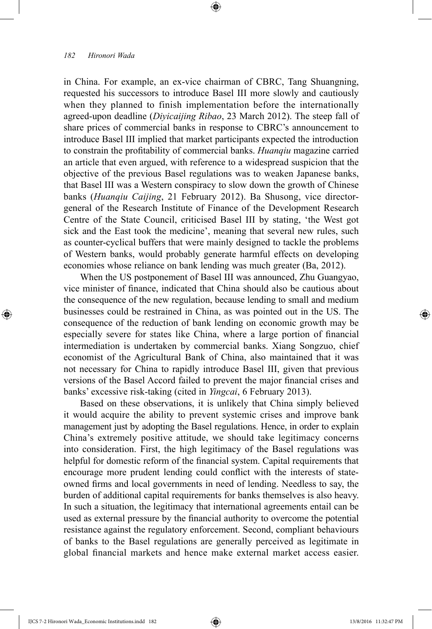⊕

in China. For example, an ex-vice chairman of CBRC, Tang Shuangning, requested his successors to introduce Basel III more slowly and cautiously when they planned to finish implementation before the internationally agreed-upon deadline (*Diyicaijing Ribao*, 23 March 2012). The steep fall of share prices of commercial banks in response to CBRC's announcement to introduce Basel III implied that market participants expected the introduction to constrain the profitability of commercial banks. *Huanqiu* magazine carried an article that even argued, with reference to a widespread suspicion that the objective of the previous Basel regulations was to weaken Japanese banks, that Basel III was a Western conspiracy to slow down the growth of Chinese banks (*Huanqiu Caijing*, 21 February 2012). Ba Shusong, vice directorgeneral of the Research Institute of Finance of the Development Research Centre of the State Council, criticised Basel III by stating, 'the West got sick and the East took the medicine', meaning that several new rules, such as counter-cyclical buffers that were mainly designed to tackle the problems of Western banks, would probably generate harmful effects on developing economies whose reliance on bank lending was much greater (Ba, 2012).

⊕

When the US postponement of Basel III was announced, Zhu Guangyao, vice minister of finance, indicated that China should also be cautious about the consequence of the new regulation, because lending to small and medium businesses could be restrained in China, as was pointed out in the US. The consequence of the reduction of bank lending on economic growth may be especially severe for states like China, where a large portion of financial intermediation is undertaken by commercial banks. Xiang Songzuo, chief economist of the Agricultural Bank of China, also maintained that it was not necessary for China to rapidly introduce Basel III, given that previous versions of the Basel Accord failed to prevent the major financial crises and banks' excessive risk-taking (cited in *Yingcai*, 6 February 2013).

Based on these observations, it is unlikely that China simply believed it would acquire the ability to prevent systemic crises and improve bank management just by adopting the Basel regulations. Hence, in order to explain China's extremely positive attitude, we should take legitimacy concerns into consideration. First, the high legitimacy of the Basel regulations was helpful for domestic reform of the financial system. Capital requirements that encourage more prudent lending could conflict with the interests of stateowned firms and local governments in need of lending. Needless to say, the burden of additional capital requirements for banks themselves is also heavy. In such a situation, the legitimacy that international agreements entail can be used as external pressure by the financial authority to overcome the potential resistance against the regulatory enforcement. Second, compliant behaviours of banks to the Basel regulations are generally perceived as legitimate in global financial markets and hence make external market access easier.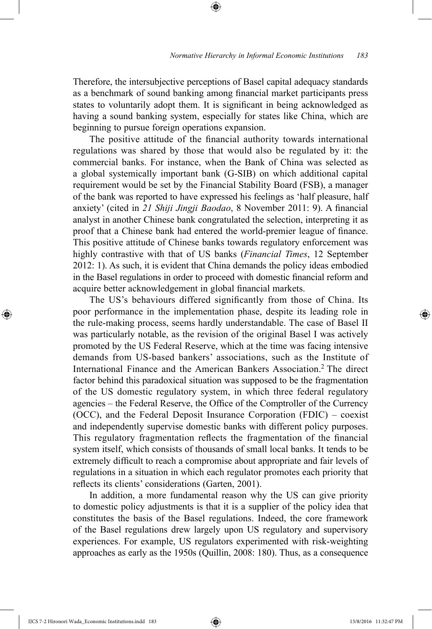Therefore, the intersubjective perceptions of Basel capital adequacy standards as a benchmark of sound banking among financial market participants press states to voluntarily adopt them. It is significant in being acknowledged as having a sound banking system, especially for states like China, which are beginning to pursue foreign operations expansion.

⊕

The positive attitude of the financial authority towards international regulations was shared by those that would also be regulated by it: the commercial banks. For instance, when the Bank of China was selected as a global systemically important bank (G-SIB) on which additional capital requirement would be set by the Financial Stability Board (FSB), a manager of the bank was reported to have expressed his feelings as 'half pleasure, half anxiety' (cited in *21 Shiji Jingji Baodao*, 8 November 2011: 9). A financial analyst in another Chinese bank congratulated the selection, interpreting it as proof that a Chinese bank had entered the world-premier league of finance. This positive attitude of Chinese banks towards regulatory enforcement was highly contrastive with that of US banks (*Financial Times*, 12 September 2012: 1). As such, it is evident that China demands the policy ideas embodied in the Basel regulations in order to proceed with domestic financial reform and acquire better acknowledgement in global financial markets.

The US's behaviours differed significantly from those of China. Its poor performance in the implementation phase, despite its leading role in the rule-making process, seems hardly understandable. The case of Basel II was particularly notable, as the revision of the original Basel I was actively promoted by the US Federal Reserve, which at the time was facing intensive demands from US-based bankers' associations, such as the Institute of International Finance and the American Bankers Association.2 The direct factor behind this paradoxical situation was supposed to be the fragmentation of the US domestic regulatory system, in which three federal regulatory agencies – the Federal Reserve, the Office of the Comptroller of the Currency (OCC), and the Federal Deposit Insurance Corporation (FDIC) – coexist and independently supervise domestic banks with different policy purposes. This regulatory fragmentation reflects the fragmentation of the financial system itself, which consists of thousands of small local banks. It tends to be extremely difficult to reach a compromise about appropriate and fair levels of regulations in a situation in which each regulator promotes each priority that reflects its clients' considerations (Garten, 2001).

In addition, a more fundamental reason why the US can give priority to domestic policy adjustments is that it is a supplier of the policy idea that constitutes the basis of the Basel regulations. Indeed, the core framework of the Basel regulations drew largely upon US regulatory and supervisory experiences. For example, US regulators experimented with risk-weighting approaches as early as the 1950s (Quillin, 2008: 180). Thus, as a consequence

IJCS 7-2 Hironori Wada\_Economic Institutions.indd 183 13/8/2016 11:32:47 PM

⊕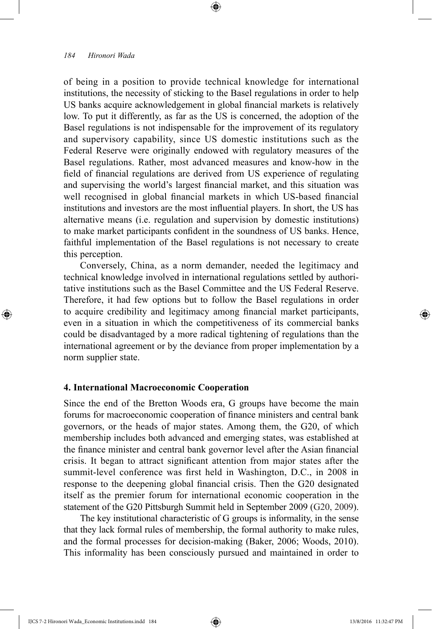⊕

of being in a position to provide technical knowledge for international institutions, the necessity of sticking to the Basel regulations in order to help US banks acquire acknowledgement in global financial markets is relatively low. To put it differently, as far as the US is concerned, the adoption of the Basel regulations is not indispensable for the improvement of its regulatory and supervisory capability, since US domestic institutions such as the Federal Reserve were originally endowed with regulatory measures of the Basel regulations. Rather, most advanced measures and know-how in the field of financial regulations are derived from US experience of regulating and supervising the world's largest financial market, and this situation was well recognised in global financial markets in which US-based financial institutions and investors are the most influential players. In short, the US has alternative means (i.e. regulation and supervision by domestic institutions) to make market participants confident in the soundness of US banks. Hence, faithful implementation of the Basel regulations is not necessary to create this perception.

⊕

Conversely, China, as a norm demander, needed the legitimacy and technical knowledge involved in international regulations settled by authoritative institutions such as the Basel Committee and the US Federal Reserve. Therefore, it had few options but to follow the Basel regulations in order to acquire credibility and legitimacy among financial market participants, even in a situation in which the competitiveness of its commercial banks could be disadvantaged by a more radical tightening of regulations than the international agreement or by the deviance from proper implementation by a norm supplier state.

#### **4. International Macroeconomic Cooperation**

Since the end of the Bretton Woods era, G groups have become the main forums for macroeconomic cooperation of finance ministers and central bank governors, or the heads of major states. Among them, the G20, of which membership includes both advanced and emerging states, was established at the finance minister and central bank governor level after the Asian financial crisis. It began to attract significant attention from major states after the summit-level conference was first held in Washington, D.C., in 2008 in response to the deepening global financial crisis. Then the G20 designated itself as the premier forum for international economic cooperation in the statement of the G20 Pittsburgh Summit held in September 2009 (G20, 2009).

The key institutional characteristic of G groups is informality, in the sense that they lack formal rules of membership, the formal authority to make rules, and the formal processes for decision-making (Baker, 2006; Woods, 2010). This informality has been consciously pursued and maintained in order to

IJCS 7-2 Hironori Wada\_Economic Institutions.indd 184 13/8/2016 11:32:47 PM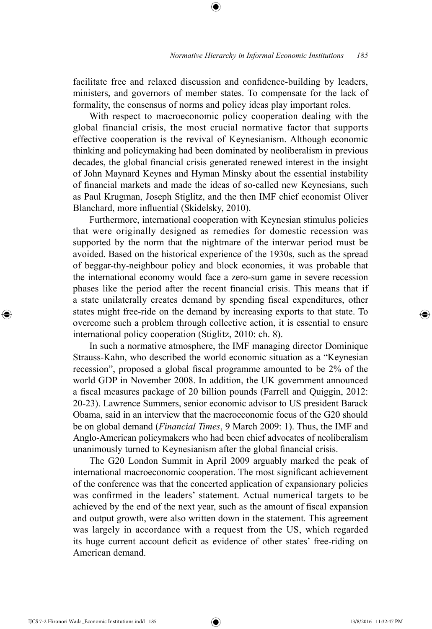facilitate free and relaxed discussion and confidence-building by leaders, ministers, and governors of member states. To compensate for the lack of formality, the consensus of norms and policy ideas play important roles.

⊕

With respect to macroeconomic policy cooperation dealing with the global financial crisis, the most crucial normative factor that supports effective cooperation is the revival of Keynesianism. Although economic thinking and policymaking had been dominated by neoliberalism in previous decades, the global financial crisis generated renewed interest in the insight of John Maynard Keynes and Hyman Minsky about the essential instability of financial markets and made the ideas of so-called new Keynesians, such as Paul Krugman, Joseph Stiglitz, and the then IMF chief economist Oliver Blanchard, more influential (Skidelsky, 2010).

Furthermore, international cooperation with Keynesian stimulus policies that were originally designed as remedies for domestic recession was supported by the norm that the nightmare of the interwar period must be avoided. Based on the historical experience of the 1930s, such as the spread of beggar-thy-neighbour policy and block economies, it was probable that the international economy would face a zero-sum game in severe recession phases like the period after the recent financial crisis. This means that if a state unilaterally creates demand by spending fiscal expenditures, other states might free-ride on the demand by increasing exports to that state. To overcome such a problem through collective action, it is essential to ensure international policy cooperation (Stiglitz, 2010: ch. 8).

In such a normative atmosphere, the IMF managing director Dominique Strauss-Kahn, who described the world economic situation as a "Keynesian recession", proposed a global fiscal programme amounted to be 2% of the world GDP in November 2008. In addition, the UK government announced a fiscal measures package of 20 billion pounds (Farrell and Quiggin, 2012: 20-23). Lawrence Summers, senior economic advisor to US president Barack Obama, said in an interview that the macroeconomic focus of the G20 should be on global demand (*Financial Times*, 9 March 2009: 1). Thus, the IMF and Anglo-American policymakers who had been chief advocates of neoliberalism unanimously turned to Keynesianism after the global financial crisis.

The G20 London Summit in April 2009 arguably marked the peak of international macroeconomic cooperation. The most significant achievement of the conference was that the concerted application of expansionary policies was confirmed in the leaders' statement. Actual numerical targets to be achieved by the end of the next year, such as the amount of fiscal expansion and output growth, were also written down in the statement. This agreement was largely in accordance with a request from the US, which regarded its huge current account deficit as evidence of other states' free-riding on American demand.

IJCS 7-2 Hironori Wada\_Economic Institutions.indd 185 13/8/2016 11:32:47 PM

⊕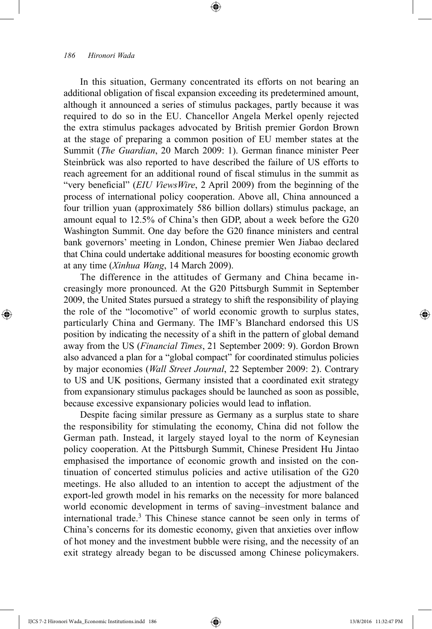⊕

In this situation, Germany concentrated its efforts on not bearing an additional obligation of fiscal expansion exceeding its predetermined amount, although it announced a series of stimulus packages, partly because it was required to do so in the EU. Chancellor Angela Merkel openly rejected the extra stimulus packages advocated by British premier Gordon Brown at the stage of preparing a common position of EU member states at the Summit (*The Guardian*, 20 March 2009: 1). German finance minister Peer Steinbrück was also reported to have described the failure of US efforts to reach agreement for an additional round of fiscal stimulus in the summit as "very beneficial" (*EIU ViewsWire*, 2 April 2009) from the beginning of the process of international policy cooperation. Above all, China announced a four trillion yuan (approximately 586 billion dollars) stimulus package, an amount equal to 12.5% of China's then GDP, about a week before the G20 Washington Summit. One day before the G20 finance ministers and central bank governors' meeting in London, Chinese premier Wen Jiabao declared that China could undertake additional measures for boosting economic growth at any time (*Xinhua Wang*, 14 March 2009).

⊕

The difference in the attitudes of Germany and China became increasingly more pronounced. At the G20 Pittsburgh Summit in September 2009, the United States pursued a strategy to shift the responsibility of playing the role of the "locomotive" of world economic growth to surplus states, particularly China and Germany. The IMF's Blanchard endorsed this US position by indicating the necessity of a shift in the pattern of global demand away from the US (*Financial Times*, 21 September 2009: 9). Gordon Brown also advanced a plan for a "global compact" for coordinated stimulus policies by major economies (*Wall Street Journal*, 22 September 2009: 2). Contrary to US and UK positions, Germany insisted that a coordinated exit strategy from expansionary stimulus packages should be launched as soon as possible, because excessive expansionary policies would lead to inflation.

Despite facing similar pressure as Germany as a surplus state to share the responsibility for stimulating the economy, China did not follow the German path. Instead, it largely stayed loyal to the norm of Keynesian policy cooperation. At the Pittsburgh Summit, Chinese President Hu Jintao emphasised the importance of economic growth and insisted on the continuation of concerted stimulus policies and active utilisation of the G20 meetings. He also alluded to an intention to accept the adjustment of the export-led growth model in his remarks on the necessity for more balanced world economic development in terms of saving–investment balance and international trade.3 This Chinese stance cannot be seen only in terms of China's concerns for its domestic economy, given that anxieties over inflow of hot money and the investment bubble were rising, and the necessity of an exit strategy already began to be discussed among Chinese policymakers.

IJCS 7-2 Hironori Wada\_Economic Institutions.indd 186 13/8/2016 11:32:47 PM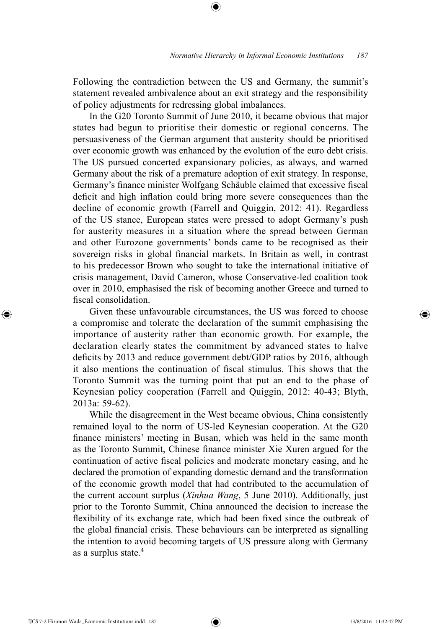Following the contradiction between the US and Germany, the summit's statement revealed ambivalence about an exit strategy and the responsibility of policy adjustments for redressing global imbalances.

⊕

In the G20 Toronto Summit of June 2010, it became obvious that major states had begun to prioritise their domestic or regional concerns. The persuasiveness of the German argument that austerity should be prioritised over economic growth was enhanced by the evolution of the euro debt crisis. The US pursued concerted expansionary policies, as always, and warned Germany about the risk of a premature adoption of exit strategy. In response, Germany's finance minister Wolfgang Schäuble claimed that excessive fiscal deficit and high inflation could bring more severe consequences than the decline of economic growth (Farrell and Quiggin, 2012: 41). Regardless of the US stance, European states were pressed to adopt Germany's push for austerity measures in a situation where the spread between German and other Eurozone governments' bonds came to be recognised as their sovereign risks in global financial markets. In Britain as well, in contrast to his predecessor Brown who sought to take the international initiative of crisis management, David Cameron, whose Conservative-led coalition took over in 2010, emphasised the risk of becoming another Greece and turned to fiscal consolidation.

Given these unfavourable circumstances, the US was forced to choose a compromise and tolerate the declaration of the summit emphasising the importance of austerity rather than economic growth. For example, the declaration clearly states the commitment by advanced states to halve deficits by 2013 and reduce government debt/GDP ratios by 2016, although it also mentions the continuation of fiscal stimulus. This shows that the Toronto Summit was the turning point that put an end to the phase of Keynesian policy cooperation (Farrell and Quiggin, 2012: 40-43; Blyth, 2013a: 59-62).

While the disagreement in the West became obvious, China consistently remained loyal to the norm of US-led Keynesian cooperation. At the G20 finance ministers' meeting in Busan, which was held in the same month as the Toronto Summit, Chinese finance minister Xie Xuren argued for the continuation of active fiscal policies and moderate monetary easing, and he declared the promotion of expanding domestic demand and the transformation of the economic growth model that had contributed to the accumulation of the current account surplus (*Xinhua Wang*, 5 June 2010). Additionally, just prior to the Toronto Summit, China announced the decision to increase the flexibility of its exchange rate, which had been fixed since the outbreak of the global financial crisis. These behaviours can be interpreted as signalling the intention to avoid becoming targets of US pressure along with Germany as a surplus state.<sup>4</sup>

IJCS 7-2 Hironori Wada\_Economic Institutions.indd 187 13/8/2016 11:32:47 PM

⊕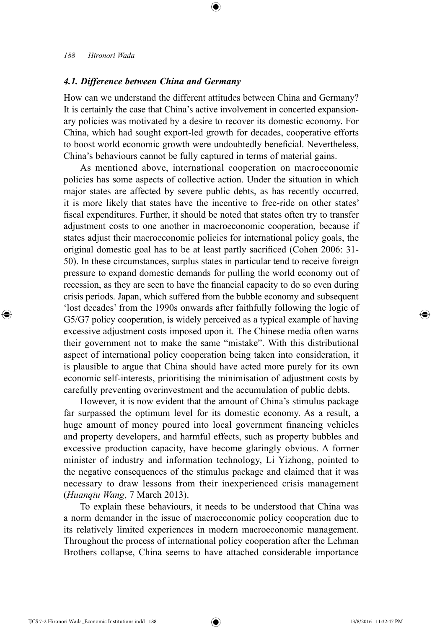⊕

## *4.1. Difference between China and Germany*

How can we understand the different attitudes between China and Germany? It is certainly the case that China's active involvement in concerted expansionary policies was motivated by a desire to recover its domestic economy. For China, which had sought export-led growth for decades, cooperative efforts to boost world economic growth were undoubtedly beneficial. Nevertheless, China's behaviours cannot be fully captured in terms of material gains.

⊕

As mentioned above, international cooperation on macroeconomic policies has some aspects of collective action. Under the situation in which major states are affected by severe public debts, as has recently occurred, it is more likely that states have the incentive to free-ride on other states' fiscal expenditures. Further, it should be noted that states often try to transfer adjustment costs to one another in macroeconomic cooperation, because if states adjust their macroeconomic policies for international policy goals, the original domestic goal has to be at least partly sacrificed (Cohen 2006: 31- 50). In these circumstances, surplus states in particular tend to receive foreign pressure to expand domestic demands for pulling the world economy out of recession, as they are seen to have the financial capacity to do so even during crisis periods. Japan, which suffered from the bubble economy and subsequent 'lost decades' from the 1990s onwards after faithfully following the logic of G5/G7 policy cooperation, is widely perceived as a typical example of having excessive adjustment costs imposed upon it. The Chinese media often warns their government not to make the same "mistake". With this distributional aspect of international policy cooperation being taken into consideration, it is plausible to argue that China should have acted more purely for its own economic self-interests, prioritising the minimisation of adjustment costs by carefully preventing overinvestment and the accumulation of public debts.

However, it is now evident that the amount of China's stimulus package far surpassed the optimum level for its domestic economy. As a result, a huge amount of money poured into local government financing vehicles and property developers, and harmful effects, such as property bubbles and excessive production capacity, have become glaringly obvious. A former minister of industry and information technology, Li Yizhong, pointed to the negative consequences of the stimulus package and claimed that it was necessary to draw lessons from their inexperienced crisis management (*Huanqiu Wang*, 7 March 2013).

To explain these behaviours, it needs to be understood that China was a norm demander in the issue of macroeconomic policy cooperation due to its relatively limited experiences in modern macroeconomic management. Throughout the process of international policy cooperation after the Lehman Brothers collapse, China seems to have attached considerable importance

IJCS 7-2 Hironori Wada\_Economic Institutions.indd 188 13/8/2016 11:32:47 PM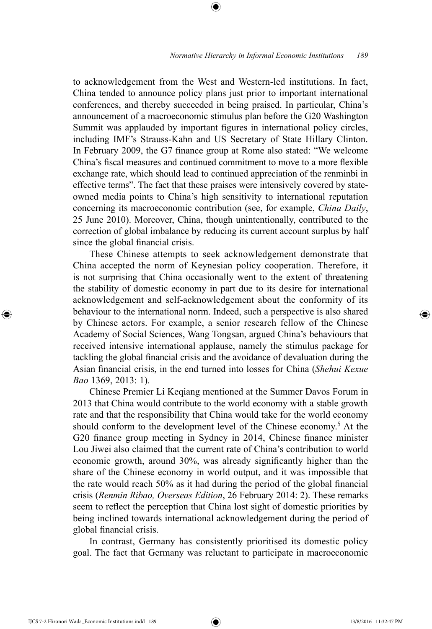to acknowledgement from the West and Western-led institutions. In fact, China tended to announce policy plans just prior to important international conferences, and thereby succeeded in being praised. In particular, China's announcement of a macroeconomic stimulus plan before the G20 Washington Summit was applauded by important figures in international policy circles, including IMF's Strauss-Kahn and US Secretary of State Hillary Clinton. In February 2009, the G7 finance group at Rome also stated: "We welcome China's fiscal measures and continued commitment to move to a more flexible exchange rate, which should lead to continued appreciation of the renminbi in effective terms". The fact that these praises were intensively covered by stateowned media points to China's high sensitivity to international reputation concerning its macroeconomic contribution (see, for example, *China Daily*, 25 June 2010). Moreover, China, though unintentionally, contributed to the correction of global imbalance by reducing its current account surplus by half since the global financial crisis.

⊕

These Chinese attempts to seek acknowledgement demonstrate that China accepted the norm of Keynesian policy cooperation. Therefore, it is not surprising that China occasionally went to the extent of threatening the stability of domestic economy in part due to its desire for international acknowledgement and self-acknowledgement about the conformity of its behaviour to the international norm. Indeed, such a perspective is also shared by Chinese actors. For example, a senior research fellow of the Chinese Academy of Social Sciences, Wang Tongsan, argued China's behaviours that received intensive international applause, namely the stimulus package for tackling the global financial crisis and the avoidance of devaluation during the Asian financial crisis, in the end turned into losses for China (*Shehui Kexue Bao* 1369, 2013: 1).

Chinese Premier Li Keqiang mentioned at the Summer Davos Forum in 2013 that China would contribute to the world economy with a stable growth rate and that the responsibility that China would take for the world economy should conform to the development level of the Chinese economy.<sup>5</sup> At the G20 finance group meeting in Sydney in 2014, Chinese finance minister Lou Jiwei also claimed that the current rate of China's contribution to world economic growth, around 30%, was already significantly higher than the share of the Chinese economy in world output, and it was impossible that the rate would reach 50% as it had during the period of the global financial crisis (*Renmin Ribao, Overseas Edition*, 26 February 2014: 2). These remarks seem to reflect the perception that China lost sight of domestic priorities by being inclined towards international acknowledgement during the period of global financial crisis.

In contrast, Germany has consistently prioritised its domestic policy goal. The fact that Germany was reluctant to participate in macroeconomic

IJCS 7-2 Hironori Wada\_Economic Institutions.indd 189 13/8/2016 11:32:47 PM

⊕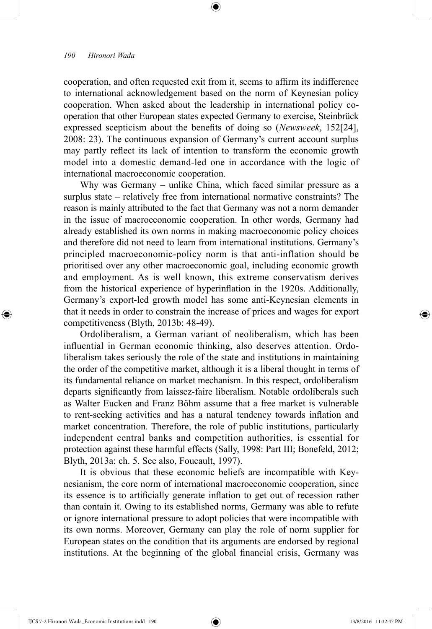⊕

cooperation, and often requested exit from it, seems to affirm its indifference to international acknowledgement based on the norm of Keynesian policy cooperation. When asked about the leadership in international policy cooperation that other European states expected Germany to exercise, Steinbrück expressed scepticism about the benefits of doing so (*Newsweek*, 152[24], 2008: 23). The continuous expansion of Germany's current account surplus may partly reflect its lack of intention to transform the economic growth model into a domestic demand-led one in accordance with the logic of international macroeconomic cooperation.

⊕

Why was Germany – unlike China, which faced similar pressure as a surplus state – relatively free from international normative constraints? The reason is mainly attributed to the fact that Germany was not a norm demander in the issue of macroeconomic cooperation. In other words, Germany had already established its own norms in making macroeconomic policy choices and therefore did not need to learn from international institutions. Germany's principled macroeconomic-policy norm is that anti-inflation should be prioritised over any other macroeconomic goal, including economic growth and employment. As is well known, this extreme conservatism derives from the historical experience of hyperinflation in the 1920s. Additionally, Germany's export-led growth model has some anti-Keynesian elements in that it needs in order to constrain the increase of prices and wages for export competitiveness (Blyth, 2013b: 48-49).

Ordoliberalism, a German variant of neoliberalism, which has been influential in German economic thinking, also deserves attention. Ordoliberalism takes seriously the role of the state and institutions in maintaining the order of the competitive market, although it is a liberal thought in terms of its fundamental reliance on market mechanism. In this respect, ordoliberalism departs significantly from laissez-faire liberalism. Notable ordoliberals such as Walter Eucken and Franz Böhm assume that a free market is vulnerable to rent-seeking activities and has a natural tendency towards inflation and market concentration. Therefore, the role of public institutions, particularly independent central banks and competition authorities, is essential for protection against these harmful effects (Sally, 1998: Part III; Bonefeld, 2012; Blyth, 2013a: ch. 5. See also, Foucault, 1997).

It is obvious that these economic beliefs are incompatible with Keynesianism, the core norm of international macroeconomic cooperation, since its essence is to artificially generate inflation to get out of recession rather than contain it. Owing to its established norms, Germany was able to refute or ignore international pressure to adopt policies that were incompatible with its own norms. Moreover, Germany can play the role of norm supplier for European states on the condition that its arguments are endorsed by regional institutions. At the beginning of the global financial crisis, Germany was

IJCS 7-2 Hironori Wada\_Economic Institutions.indd 190 13/8/2016 11:32:47 PM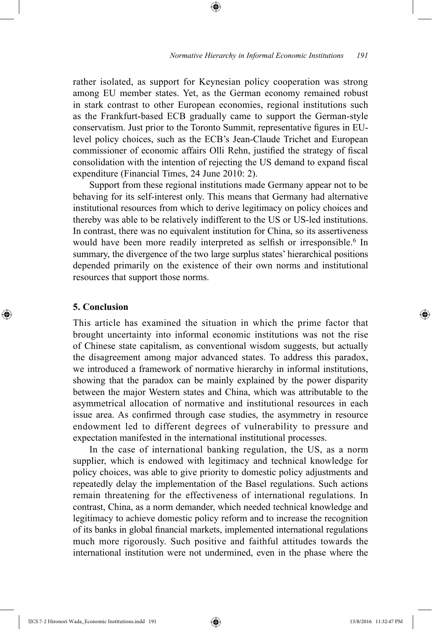rather isolated, as support for Keynesian policy cooperation was strong among EU member states. Yet, as the German economy remained robust in stark contrast to other European economies, regional institutions such as the Frankfurt-based ECB gradually came to support the German-style conservatism. Just prior to the Toronto Summit, representative figures in EUlevel policy choices, such as the ECB's Jean-Claude Trichet and European commissioner of economic affairs Olli Rehn, justified the strategy of fiscal consolidation with the intention of rejecting the US demand to expand fiscal expenditure (Financial Times, 24 June 2010: 2).

⊕

Support from these regional institutions made Germany appear not to be behaving for its self-interest only. This means that Germany had alternative institutional resources from which to derive legitimacy on policy choices and thereby was able to be relatively indifferent to the US or US-led institutions. In contrast, there was no equivalent institution for China, so its assertiveness would have been more readily interpreted as selfish or irresponsible.<sup>6</sup> In summary, the divergence of the two large surplus states' hierarchical positions depended primarily on the existence of their own norms and institutional resources that support those norms.

# **5. Conclusion**

⊕

This article has examined the situation in which the prime factor that brought uncertainty into informal economic institutions was not the rise of Chinese state capitalism, as conventional wisdom suggests, but actually the disagreement among major advanced states. To address this paradox, we introduced a framework of normative hierarchy in informal institutions, showing that the paradox can be mainly explained by the power disparity between the major Western states and China, which was attributable to the asymmetrical allocation of normative and institutional resources in each issue area. As confirmed through case studies, the asymmetry in resource endowment led to different degrees of vulnerability to pressure and expectation manifested in the international institutional processes.

In the case of international banking regulation, the US, as a norm supplier, which is endowed with legitimacy and technical knowledge for policy choices, was able to give priority to domestic policy adjustments and repeatedly delay the implementation of the Basel regulations. Such actions remain threatening for the effectiveness of international regulations. In contrast, China, as a norm demander, which needed technical knowledge and legitimacy to achieve domestic policy reform and to increase the recognition of its banks in global financial markets, implemented international regulations much more rigorously. Such positive and faithful attitudes towards the international institution were not undermined, even in the phase where the

IJCS 7-2 Hironori Wada\_Economic Institutions.indd 191 13/8/2016 11:32:47 PM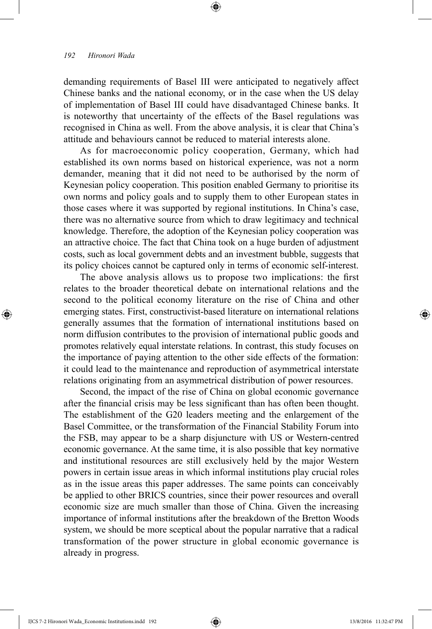⊕

demanding requirements of Basel III were anticipated to negatively affect Chinese banks and the national economy, or in the case when the US delay of implementation of Basel III could have disadvantaged Chinese banks. It is noteworthy that uncertainty of the effects of the Basel regulations was recognised in China as well. From the above analysis, it is clear that China's attitude and behaviours cannot be reduced to material interests alone.

⊕

As for macroeconomic policy cooperation, Germany, which had established its own norms based on historical experience, was not a norm demander, meaning that it did not need to be authorised by the norm of Keynesian policy cooperation. This position enabled Germany to prioritise its own norms and policy goals and to supply them to other European states in those cases where it was supported by regional institutions. In China's case, there was no alternative source from which to draw legitimacy and technical knowledge. Therefore, the adoption of the Keynesian policy cooperation was an attractive choice. The fact that China took on a huge burden of adjustment costs, such as local government debts and an investment bubble, suggests that its policy choices cannot be captured only in terms of economic self-interest.

The above analysis allows us to propose two implications: the first relates to the broader theoretical debate on international relations and the second to the political economy literature on the rise of China and other emerging states. First, constructivist-based literature on international relations generally assumes that the formation of international institutions based on norm diffusion contributes to the provision of international public goods and promotes relatively equal interstate relations. In contrast, this study focuses on the importance of paying attention to the other side effects of the formation: it could lead to the maintenance and reproduction of asymmetrical interstate relations originating from an asymmetrical distribution of power resources.

Second, the impact of the rise of China on global economic governance after the financial crisis may be less significant than has often been thought. The establishment of the G20 leaders meeting and the enlargement of the Basel Committee, or the transformation of the Financial Stability Forum into the FSB, may appear to be a sharp disjuncture with US or Western-centred economic governance. At the same time, it is also possible that key normative and institutional resources are still exclusively held by the major Western powers in certain issue areas in which informal institutions play crucial roles as in the issue areas this paper addresses. The same points can conceivably be applied to other BRICS countries, since their power resources and overall economic size are much smaller than those of China. Given the increasing importance of informal institutions after the breakdown of the Bretton Woods system, we should be more sceptical about the popular narrative that a radical transformation of the power structure in global economic governance is already in progress.

IJCS 7-2 Hironori Wada\_Economic Institutions.indd 192 13/8/2016 11:32:47 PM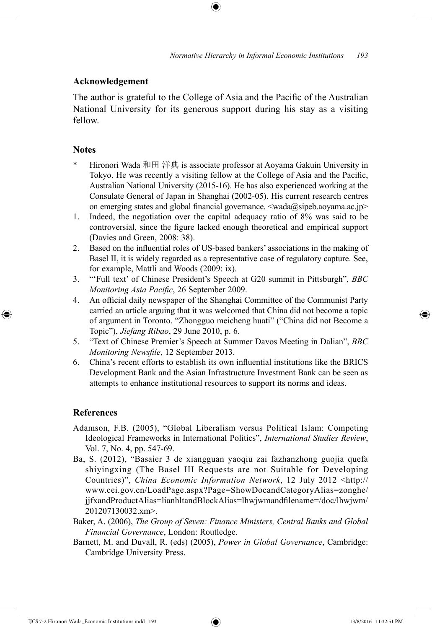# **Acknowledgement**

The author is grateful to the College of Asia and the Pacific of the Australian National University for its generous support during his stay as a visiting fellow.

#### **Notes**

- Hironori Wada 和田 洋典 is associate professor at Aoyama Gakuin University in Tokyo. He was recently a visiting fellow at the College of Asia and the Pacific, Australian National University (2015-16). He has also experienced working at the Consulate General of Japan in Shanghai (2002-05). His current research centres on emerging states and global financial governance. <wada@sipeb.aoyama.ac.jp>
- 1. Indeed, the negotiation over the capital adequacy ratio of 8% was said to be controversial, since the figure lacked enough theoretical and empirical support (Davies and Green, 2008: 38).
- 2. Based on the influential roles of US-based bankers' associations in the making of Basel II, it is widely regarded as a representative case of regulatory capture. See, for example, Mattli and Woods (2009: ix).
- 3. "'Full text' of Chinese President's Speech at G20 summit in Pittsburgh", *BBC Monitoring Asia Pacific*, 26 September 2009.
- 4. An official daily newspaper of the Shanghai Committee of the Communist Party carried an article arguing that it was welcomed that China did not become a topic of argument in Toronto. "Zhongguo meicheng huati" ("China did not Become a Topic"), *Jiefang Ribao*, 29 June 2010, p. 6.
- 5. "Text of Chinese Premier's Speech at Summer Davos Meeting in Dalian", *BBC Monitoring Newsfile*, 12 September 2013.
- 6. China's recent efforts to establish its own influential institutions like the BRICS Development Bank and the Asian Infrastructure Investment Bank can be seen as attempts to enhance institutional resources to support its norms and ideas.

#### **References**

⊕

- Adamson, F.B. (2005), "Global Liberalism versus Political Islam: Competing Ideological Frameworks in International Politics", *International Studies Review*, Vol. 7, No. 4, pp. 547-69.
- Ba, S. (2012), "Basaier 3 de xiangguan yaoqiu zai fazhanzhong guojia quefa shiyingxing (The Basel III Requests are not Suitable for Developing Countries)", *China Economic Information Network*, 12 July 2012 <http:// www.cei.gov.cn/LoadPage.aspx?Page=ShowDocandCategoryAlias=zonghe/ jjfxandProductAlias=lianhltandBlockAlias=lhwjwmandfilename=/doc/lhwjwm/ 201207130032.xm>.
- Baker, A. (2006), *The Group of Seven: Finance Ministers, Central Banks and Global Financial Governance*, London: Routledge.
- Barnett, M. and Duvall, R. (eds) (2005), *Power in Global Governance*, Cambridge: Cambridge University Press.

IJCS 7-2 Hironori Wada\_Economic Institutions.indd 193 13/8/2016 11:32:51 PM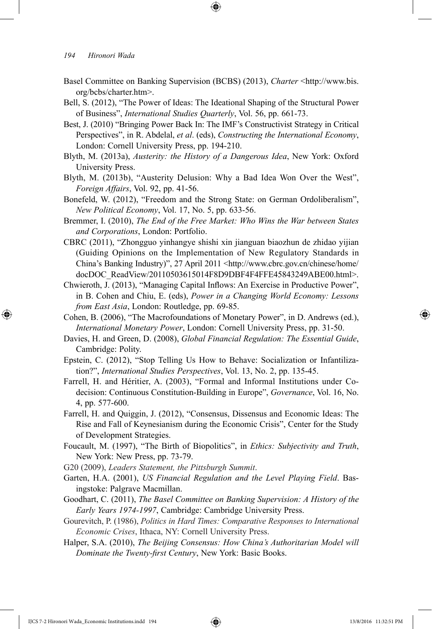⊕

- Basel Committee on Banking Supervision (BCBS) (2013), *Charter* <http://www.bis. org/bcbs/charter.htm>.
- Bell, S. (2012), "The Power of Ideas: The Ideational Shaping of the Structural Power of Business", *International Studies Quarterly*, Vol. 56, pp. 661-73.
- Best, J. (2010) "Bringing Power Back In: The IMF's Constructivist Strategy in Critical Perspectives", in R. Abdelal, *et al*. (eds), *Constructing the International Economy*, London: Cornell University Press, pp. 194-210.
- Blyth, M. (2013a), *Austerity: the History of a Dangerous Idea*, New York: Oxford University Press.
- Blyth, M. (2013b), "Austerity Delusion: Why a Bad Idea Won Over the West", *Foreign Affairs*, Vol. 92, pp. 41-56.
- Bonefeld, W. (2012), "Freedom and the Strong State: on German Ordoliberalism", *New Political Economy*, Vol. 17, No. 5, pp. 633-56.
- Bremmer, I. (2010), *The End of the Free Market: Who Wins the War between States and Corporations*, London: Portfolio.
- CBRC (2011), "Zhongguo yinhangye shishi xin jianguan biaozhun de zhidao yijian (Guiding Opinions on the Implementation of New Regulatory Standards in China's Banking Industry)", 27 April 2011 <http://www.cbrc.gov.cn/chinese/home/ docDOC\_ReadView/20110503615014F8D9DBF4F4FFE45843249ABE00.html>.
- Chwieroth, J. (2013), "Managing Capital Inflows: An Exercise in Productive Power", in B. Cohen and Chiu, E. (eds), *Power in a Changing World Economy: Lessons from East Asia*, London: Routledge, pp. 69-85.
- Cohen, B. (2006), "The Macrofoundations of Monetary Power", in D. Andrews (ed.), *International Monetary Power*, London: Cornell University Press, pp. 31-50.
- Davies, H. and Green, D. (2008), *Global Financial Regulation: The Essential Guide*, Cambridge: Polity.
- Epstein, C. (2012), "Stop Telling Us How to Behave: Socialization or Infantilization?", *International Studies Perspectives*, Vol. 13, No. 2, pp. 135-45.
- Farrell, H. and Héritier, A. (2003), "Formal and Informal Institutions under Codecision: Continuous Constitution-Building in Europe", *Governance*, Vol. 16, No. 4, pp. 577-600.
- Farrell, H. and Quiggin, J. (2012), "Consensus, Dissensus and Economic Ideas: The Rise and Fall of Keynesianism during the Economic Crisis", Center for the Study of Development Strategies.
- Foucault, M. (1997), "The Birth of Biopolitics", in *Ethics: Subjectivity and Truth*, New York: New Press, pp. 73-79.
- G20 (2009), *Leaders Statement, the Pittsburgh Summit*.
- Garten, H.A. (2001), *US Financial Regulation and the Level Playing Field*. Basingstoke: Palgrave Macmillan.
- Goodhart, C. (2011), *The Basel Committee on Banking Supervision: A History of the Early Years 1974-1997*, Cambridge: Cambridge University Press.
- Gourevitch, P. (1986), *Politics in Hard Times: Comparative Responses to International Economic Crises*, Ithaca, NY: Cornell University Press.
- Halper, S.A. (2010), *The Beijing Consensus: How China's Authoritarian Model will Dominate the Twenty-first Century*, New York: Basic Books.

IJCS 7-2 Hironori Wada\_Economic Institutions.indd 194 13/8/2016 11:32:51 PM

↔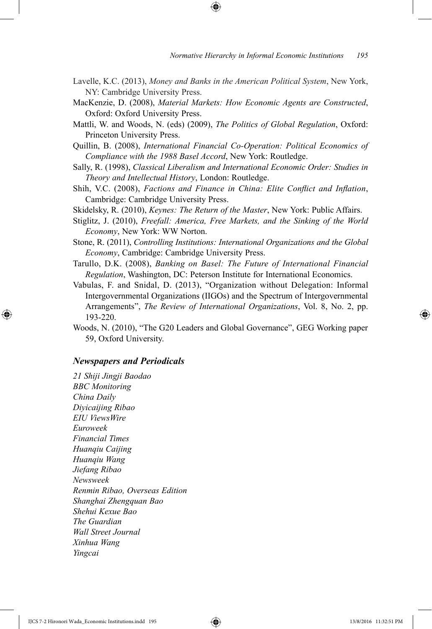Lavelle, K.C. (2013), *Money and Banks in the American Political System*, New York, NY: Cambridge University Press.

⊕

- MacKenzie, D. (2008), *Material Markets: How Economic Agents are Constructed*, Oxford: Oxford University Press.
- Mattli, W. and Woods, N. (eds) (2009), *The Politics of Global Regulation*, Oxford: Princeton University Press.
- Quillin, B. (2008), *International Financial Co-Operation: Political Economics of Compliance with the 1988 Basel Accord*, New York: Routledge.
- Sally, R. (1998), *Classical Liberalism and International Economic Order: Studies in Theory and Intellectual History*, London: Routledge.
- Shih, V.C. (2008), *Factions and Finance in China: Elite Conflict and Inflation*, Cambridge: Cambridge University Press.
- Skidelsky, R. (2010), *Keynes: The Return of the Master*, New York: Public Affairs.
- Stiglitz, J. (2010), *Freefall: America, Free Markets, and the Sinking of the World Economy*, New York: WW Norton.
- Stone, R. (2011), *Controlling Institutions: International Organizations and the Global Economy*, Cambridge: Cambridge University Press.
- Tarullo, D.K. (2008), *Banking on Basel: The Future of International Financial Regulation*, Washington, DC: Peterson Institute for International Economics.
- Vabulas, F. and Snidal, D. (2013), "Organization without Delegation: Informal Intergovernmental Organizations (IIGOs) and the Spectrum of Intergovernmental Arrangements", *The Review of International Organizations*, Vol. 8, No. 2, pp. 193-220.
- Woods, N. (2010), "The G20 Leaders and Global Governance", GEG Working paper 59, Oxford University.

### *Newspapers and Periodicals*

⊕

*21 Shiji Jingji Baodao BBC Monitoring China Daily Diyicaijing Ribao EIU ViewsWire Euroweek Financial Times Huanqiu Caijing Huanqiu Wang Jiefang Ribao Newsweek Renmin Ribao, Overseas Edition Shanghai Zhengquan Bao Shehui Kexue Bao The Guardian Wall Street Journal Xinhua Wang Yingcai*

IJCS 7-2 Hironori Wada\_Economic Institutions.indd 195 13/8/2016 11:32:51 PM